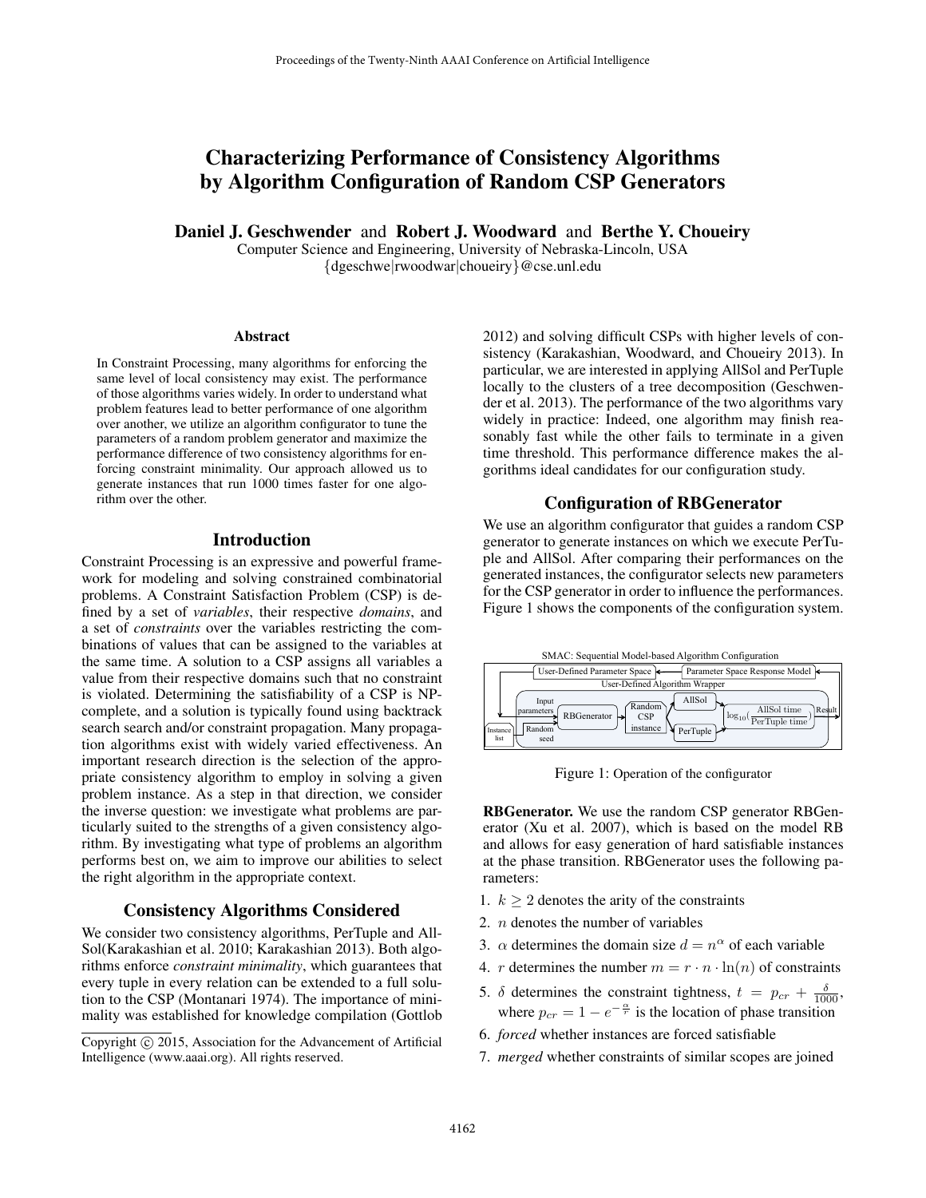# Characterizing Performance of Consistency Algorithms by Algorithm Configuration of Random CSP Generators

Daniel J. Geschwender and Robert J. Woodward and Berthe Y. Choueiry

Computer Science and Engineering, University of Nebraska-Lincoln, USA {dgeschwe|rwoodwar|choueiry}@cse.unl.edu

#### Abstract

In Constraint Processing, many algorithms for enforcing the same level of local consistency may exist. The performance of those algorithms varies widely. In order to understand what problem features lead to better performance of one algorithm over another, we utilize an algorithm configurator to tune the parameters of a random problem generator and maximize the performance difference of two consistency algorithms for enforcing constraint minimality. Our approach allowed us to generate instances that run 1000 times faster for one algorithm over the other.

### Introduction

Constraint Processing is an expressive and powerful framework for modeling and solving constrained combinatorial problems. A Constraint Satisfaction Problem (CSP) is defined by a set of *variables*, their respective *domains*, and a set of *constraints* over the variables restricting the combinations of values that can be assigned to the variables at the same time. A solution to a CSP assigns all variables a value from their respective domains such that no constraint is violated. Determining the satisfiability of a CSP is NPcomplete, and a solution is typically found using backtrack search search and/or constraint propagation. Many propagation algorithms exist with widely varied effectiveness. An important research direction is the selection of the appropriate consistency algorithm to employ in solving a given problem instance. As a step in that direction, we consider the inverse question: we investigate what problems are particularly suited to the strengths of a given consistency algorithm. By investigating what type of problems an algorithm performs best on, we aim to improve our abilities to select the right algorithm in the appropriate context.

# Consistency Algorithms Considered

We consider two consistency algorithms, PerTuple and All-Sol(Karakashian et al. 2010; Karakashian 2013). Both algorithms enforce *constraint minimality*, which guarantees that every tuple in every relation can be extended to a full solution to the CSP (Montanari 1974). The importance of minimality was established for knowledge compilation (Gottlob 2012) and solving difficult CSPs with higher levels of consistency (Karakashian, Woodward, and Choueiry 2013). In particular, we are interested in applying AllSol and PerTuple locally to the clusters of a tree decomposition (Geschwender et al. 2013). The performance of the two algorithms vary widely in practice: Indeed, one algorithm may finish reasonably fast while the other fails to terminate in a given time threshold. This performance difference makes the algorithms ideal candidates for our configuration study.

# Configuration of RBGenerator

We use an algorithm configurator that guides a random CSP generator to generate instances on which we execute PerTuple and AllSol. After comparing their performances on the generated instances, the configurator selects new parameters for the CSP generator in order to influence the performances. Figure 1 shows the components of the configuration system.



Figure 1: Operation of the configurator

RBGenerator. We use the random CSP generator RBGenerator (Xu et al. 2007), which is based on the model RB and allows for easy generation of hard satisfiable instances at the phase transition. RBGenerator uses the following parameters:

- 1.  $k > 2$  denotes the arity of the constraints
- 2. n denotes the number of variables
- 3.  $\alpha$  determines the domain size  $d = n^{\alpha}$  of each variable
- 4. *r* determines the number  $m = r \cdot n \cdot \ln(n)$  of constraints
- 5.  $\delta$  determines the constraint tightness,  $t = p_{cr} + \frac{\delta}{1000}$ , where  $p_{cr} = 1 - e^{-\frac{\alpha}{r}}$  is the location of phase transition
- 6. *forced* whether instances are forced satisfiable
- 7. *merged* whether constraints of similar scopes are joined

Copyright  $\odot$  2015, Association for the Advancement of Artificial Intelligence (www.aaai.org). All rights reserved.